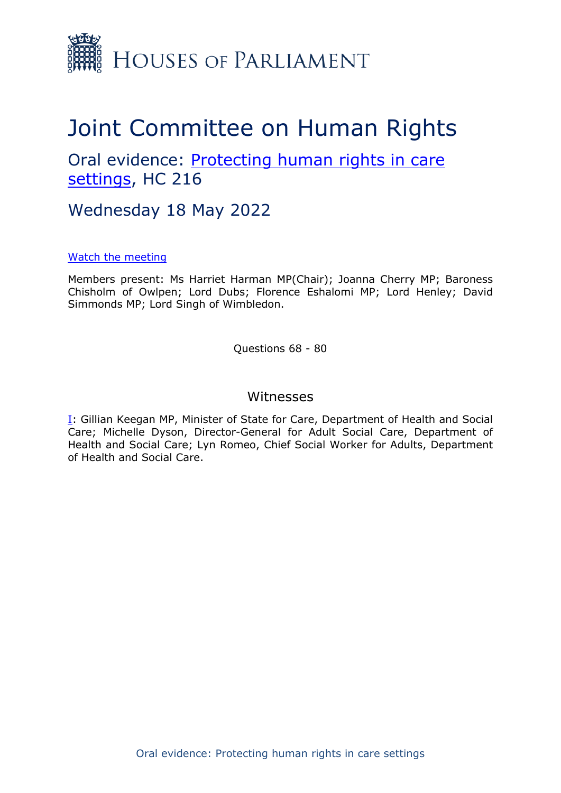

# Joint Committee on Human Rights

Oral evidence: [Protecting](https://committees.parliament.uk/work/1495/protecting-human-rights-in-care-settings/) [human](https://committees.parliament.uk/work/1495/protecting-human-rights-in-care-settings/) [rights](https://committees.parliament.uk/work/1495/protecting-human-rights-in-care-settings/) [in](https://committees.parliament.uk/work/1495/protecting-human-rights-in-care-settings/) [care](https://committees.parliament.uk/work/1495/protecting-human-rights-in-care-settings/) [settings](https://committees.parliament.uk/work/1495/protecting-human-rights-in-care-settings/), HC 216

Wednesday 18 May 2022

## [Watch](https://parliamentlive.tv/event/index/ea0261c2-2994-4232-a8b5-7cb573daa4c4) [the](https://parliamentlive.tv/event/index/ea0261c2-2994-4232-a8b5-7cb573daa4c4) [meeting](https://parliamentlive.tv/event/index/ea0261c2-2994-4232-a8b5-7cb573daa4c4)

Members present: Ms Harriet Harman MP(Chair); Joanna Cherry MP; Baroness Chisholm of Owlpen; Lord Dubs; Florence Eshalomi MP; Lord Henley; David Simmonds MP; Lord Singh of Wimbledon.

Questions 68 - 80

## Witnesses

[I:](#page-1-0) Gillian Keegan MP, Minister of State for Care, Department of Health and Social Care; Michelle Dyson, Director-General for Adult Social Care, Department of Health and Social Care; Lyn Romeo, Chief Social Worker for Adults, Department of Health and Social Care.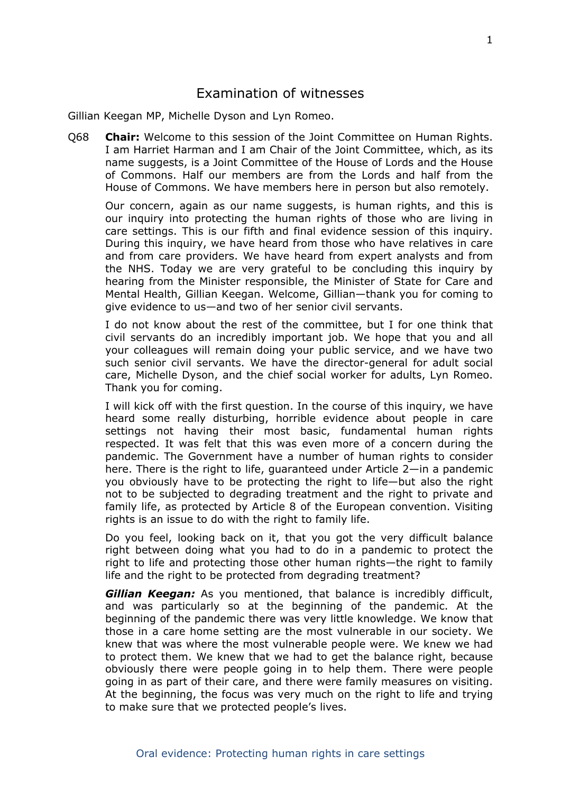# <span id="page-1-0"></span>Examination of witnesses

Gillian Keegan MP, Michelle Dyson and Lyn Romeo.

Q68 **Chair:** Welcome to this session of the Joint Committee on Human Rights. I am Harriet Harman and I am Chair of the Joint Committee, which, as its name suggests, is a Joint Committee of the House of Lords and the House of Commons. Half our members are from the Lords and half from the House of Commons. We have members here in person but also remotely.

Our concern, again as our name suggests, is human rights, and this is our inquiry into protecting the human rights of those who are living in care settings. This is our fifth and final evidence session of this inquiry. During this inquiry, we have heard from those who have relatives in care and from care providers. We have heard from expert analysts and from the NHS. Today we are very grateful to be concluding this inquiry by hearing from the Minister responsible, the Minister of State for Care and Mental Health, Gillian Keegan. Welcome, Gillian—thank you for coming to give evidence to us—and two of her senior civil servants.

I do not know about the rest of the committee, but I for one think that civil servants do an incredibly important job. We hope that you and all your colleagues will remain doing your public service, and we have two such senior civil servants. We have the director-general for adult social care, Michelle Dyson, and the chief social worker for adults, Lyn Romeo. Thank you for coming.

I will kick off with the first question. In the course of this inquiry, we have heard some really disturbing, horrible evidence about people in care settings not having their most basic, fundamental human rights respected. It was felt that this was even more of a concern during the pandemic. The Government have a number of human rights to consider here. There is the right to life, guaranteed under Article 2—in a pandemic you obviously have to be protecting the right to life—but also the right not to be subjected to degrading treatment and the right to private and family life, as protected by Article 8 of the European convention. Visiting rights is an issue to do with the right to family life.

Do you feel, looking back on it, that you got the very difficult balance right between doing what you had to do in a pandemic to protect the right to life and protecting those other human rights—the right to family life and the right to be protected from degrading treatment?

*Gillian Keegan:* As you mentioned, that balance is incredibly difficult, and was particularly so at the beginning of the pandemic. At the beginning of the pandemic there was very little knowledge. We know that those in a care home setting are the most vulnerable in our society. We knew that was where the most vulnerable people were. We knew we had to protect them. We knew that we had to get the balance right, because obviously there were people going in to help them. There were people going in as part of their care, and there were family measures on visiting. At the beginning, the focus was very much on the right to life and trying to make sure that we protected people's lives.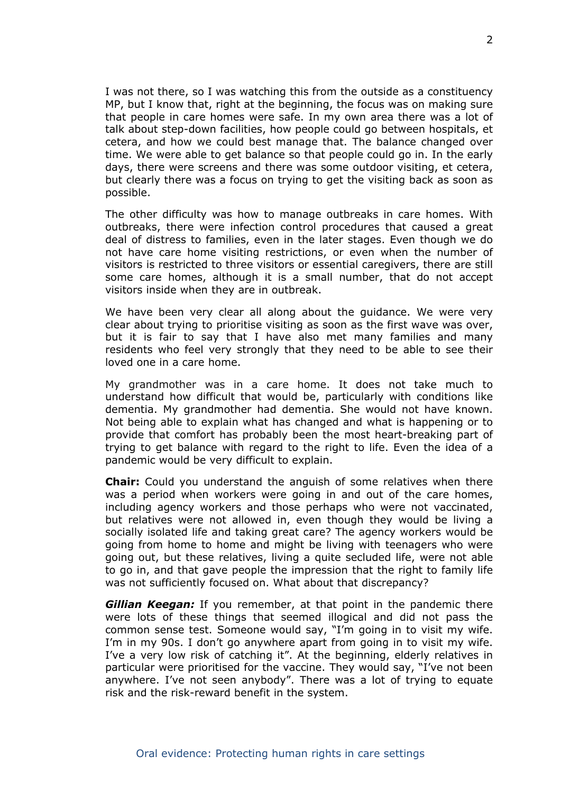I was not there, so I was watching this from the outside as a constituency MP, but I know that, right at the beginning, the focus was on making sure that people in care homes were safe. In my own area there was a lot of talk about step-down facilities, how people could go between hospitals, et cetera, and how we could best manage that. The balance changed over time. We were able to get balance so that people could go in. In the early days, there were screens and there was some outdoor visiting, et cetera, but clearly there was a focus on trying to get the visiting back as soon as possible.

The other difficulty was how to manage outbreaks in care homes. With outbreaks, there were infection control procedures that caused a great deal of distress to families, even in the later stages. Even though we do not have care home visiting restrictions, or even when the number of visitors is restricted to three visitors or essential caregivers, there are still some care homes, although it is a small number, that do not accept visitors inside when they are in outbreak.

We have been very clear all along about the guidance. We were very clear about trying to prioritise visiting as soon as the first wave was over, but it is fair to say that I have also met many families and many residents who feel very strongly that they need to be able to see their loved one in a care home.

My grandmother was in a care home. It does not take much to understand how difficult that would be, particularly with conditions like dementia. My grandmother had dementia. She would not have known. Not being able to explain what has changed and what is happening or to provide that comfort has probably been the most heart-breaking part of trying to get balance with regard to the right to life. Even the idea of a pandemic would be very difficult to explain.

**Chair:** Could you understand the anguish of some relatives when there was a period when workers were going in and out of the care homes, including agency workers and those perhaps who were not vaccinated, but relatives were not allowed in, even though they would be living a socially isolated life and taking great care? The agency workers would be going from home to home and might be living with teenagers who were going out, but these relatives, living a quite secluded life, were not able to go in, and that gave people the impression that the right to family life was not sufficiently focused on. What about that discrepancy?

*Gillian Keegan:* If you remember, at that point in the pandemic there were lots of these things that seemed illogical and did not pass the common sense test. Someone would say, "I'm going in to visit my wife. I'm in my 90s. I don't go anywhere apart from going in to visit my wife. I've a very low risk of catching it". At the beginning, elderly relatives in particular were prioritised for the vaccine. They would say, "I've not been anywhere. I've not seen anybody". There was a lot of trying to equate risk and the risk-reward benefit in the system.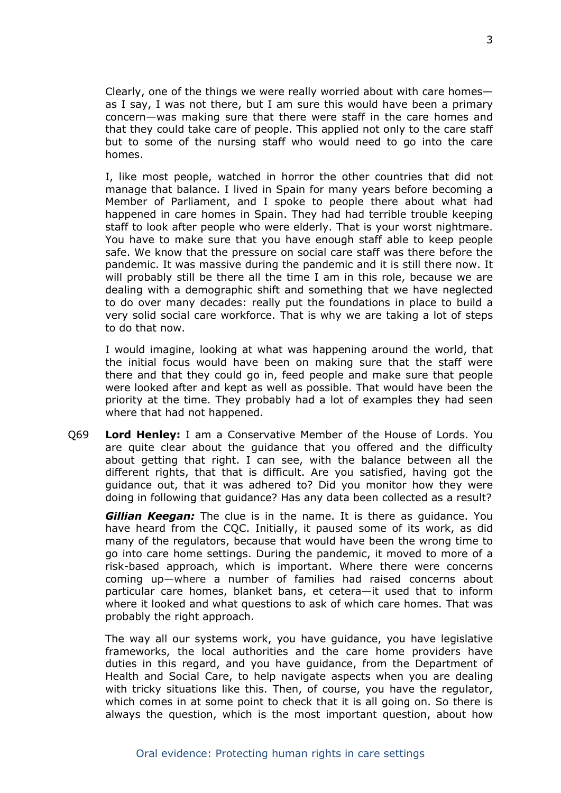Clearly, one of the things we were really worried about with care homes as I say, I was not there, but I am sure this would have been a primary concern—was making sure that there were staff in the care homes and that they could take care of people. This applied not only to the care staff but to some of the nursing staff who would need to go into the care homes.

I, like most people, watched in horror the other countries that did not manage that balance. I lived in Spain for many years before becoming a Member of Parliament, and I spoke to people there about what had happened in care homes in Spain. They had had terrible trouble keeping staff to look after people who were elderly. That is your worst nightmare. You have to make sure that you have enough staff able to keep people safe. We know that the pressure on social care staff was there before the pandemic. It was massive during the pandemic and it is still there now. It will probably still be there all the time I am in this role, because we are dealing with a demographic shift and something that we have neglected to do over many decades: really put the foundations in place to build a very solid social care workforce. That is why we are taking a lot of steps to do that now.

I would imagine, looking at what was happening around the world, that the initial focus would have been on making sure that the staff were there and that they could go in, feed people and make sure that people were looked after and kept as well as possible. That would have been the priority at the time. They probably had a lot of examples they had seen where that had not happened.

Q69 **Lord Henley:** I am a Conservative Member of the House of Lords. You are quite clear about the guidance that you offered and the difficulty about getting that right. I can see, with the balance between all the different rights, that that is difficult. Are you satisfied, having got the guidance out, that it was adhered to? Did you monitor how they were doing in following that guidance? Has any data been collected as a result?

*Gillian Keegan:* The clue is in the name. It is there as guidance. You have heard from the CQC. Initially, it paused some of its work, as did many of the regulators, because that would have been the wrong time to go into care home settings. During the pandemic, it moved to more of a risk-based approach, which is important. Where there were concerns coming up—where a number of families had raised concerns about particular care homes, blanket bans, et cetera—it used that to inform where it looked and what questions to ask of which care homes. That was probably the right approach.

The way all our systems work, you have guidance, you have legislative frameworks, the local authorities and the care home providers have duties in this regard, and you have guidance, from the Department of Health and Social Care, to help navigate aspects when you are dealing with tricky situations like this. Then, of course, you have the regulator, which comes in at some point to check that it is all going on. So there is always the question, which is the most important question, about how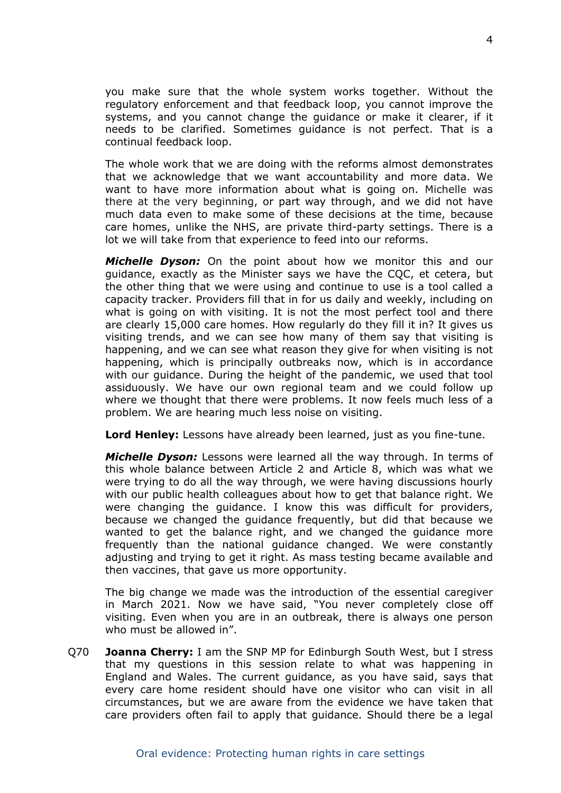you make sure that the whole system works together. Without the regulatory enforcement and that feedback loop, you cannot improve the systems, and you cannot change the guidance or make it clearer, if it needs to be clarified. Sometimes guidance is not perfect. That is a continual feedback loop.

The whole work that we are doing with the reforms almost demonstrates that we acknowledge that we want accountability and more data. We want to have more information about what is going on. Michelle was there at the very beginning, or part way through, and we did not have much data even to make some of these decisions at the time, because care homes, unlike the NHS, are private third-party settings. There is a lot we will take from that experience to feed into our reforms.

*Michelle Dyson:* On the point about how we monitor this and our guidance, exactly as the Minister says we have the CQC, et cetera, but the other thing that we were using and continue to use is a tool called a capacity tracker. Providers fill that in for us daily and weekly, including on what is going on with visiting. It is not the most perfect tool and there are clearly 15,000 care homes. How regularly do they fill it in? It gives us visiting trends, and we can see how many of them say that visiting is happening, and we can see what reason they give for when visiting is not happening, which is principally outbreaks now, which is in accordance with our guidance. During the height of the pandemic, we used that tool assiduously. We have our own regional team and we could follow up where we thought that there were problems. It now feels much less of a problem. We are hearing much less noise on visiting.

**Lord Henley:** Lessons have already been learned, just as you fine-tune.

*Michelle Dyson:* Lessons were learned all the way through. In terms of this whole balance between Article 2 and Article 8, which was what we were trying to do all the way through, we were having discussions hourly with our public health colleagues about how to get that balance right. We were changing the guidance. I know this was difficult for providers, because we changed the guidance frequently, but did that because we wanted to get the balance right, and we changed the guidance more frequently than the national guidance changed. We were constantly adjusting and trying to get it right. As mass testing became available and then vaccines, that gave us more opportunity.

The big change we made was the introduction of the essential caregiver in March 2021. Now we have said, "You never completely close off visiting. Even when you are in an outbreak, there is always one person who must be allowed in".

Q70 **Joanna Cherry:** I am the SNP MP for Edinburgh South West, but I stress that my questions in this session relate to what was happening in England and Wales. The current guidance, as you have said, says that every care home resident should have one visitor who can visit in all circumstances, but we are aware from the evidence we have taken that care providers often fail to apply that guidance. Should there be a legal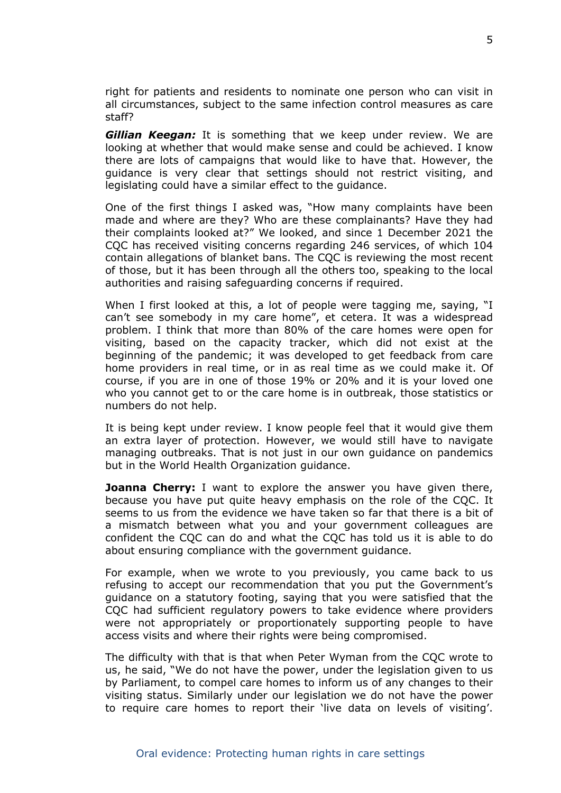right for patients and residents to nominate one person who can visit in all circumstances, subject to the same infection control measures as care staff?

*Gillian Keegan:* It is something that we keep under review. We are looking at whether that would make sense and could be achieved. I know there are lots of campaigns that would like to have that. However, the guidance is very clear that settings should not restrict visiting, and legislating could have a similar effect to the guidance.

One of the first things I asked was, "How many complaints have been made and where are they? Who are these complainants? Have they had their complaints looked at?" We looked, and since 1 December 2021 the CQC has received visiting concerns regarding 246 services, of which 104 contain allegations of blanket bans. The CQC is reviewing the most recent of those, but it has been through all the others too, speaking to the local authorities and raising safeguarding concerns if required.

When I first looked at this, a lot of people were tagging me, saying, "I can't see somebody in my care home", et cetera. It was a widespread problem. I think that more than 80% of the care homes were open for visiting, based on the capacity tracker, which did not exist at the beginning of the pandemic; it was developed to get feedback from care home providers in real time, or in as real time as we could make it. Of course, if you are in one of those 19% or 20% and it is your loved one who you cannot get to or the care home is in outbreak, those statistics or numbers do not help.

It is being kept under review. I know people feel that it would give them an extra layer of protection. However, we would still have to navigate managing outbreaks. That is not just in our own guidance on pandemics but in the World Health Organization guidance.

**Joanna Cherry:** I want to explore the answer you have given there, because you have put quite heavy emphasis on the role of the CQC. It seems to us from the evidence we have taken so far that there is a bit of a mismatch between what you and your government colleagues are confident the CQC can do and what the CQC has told us it is able to do about ensuring compliance with the government guidance.

For example, when we wrote to you previously, you came back to us refusing to accept our recommendation that you put the Government's guidance on a statutory footing, saying that you were satisfied that the CQC had sufficient regulatory powers to take evidence where providers were not appropriately or proportionately supporting people to have access visits and where their rights were being compromised.

The difficulty with that is that when Peter Wyman from the CQC wrote to us, he said, "We do not have the power, under the legislation given to us by Parliament, to compel care homes to inform us of any changes to their visiting status. Similarly under our legislation we do not have the power to require care homes to report their 'live data on levels of visiting'.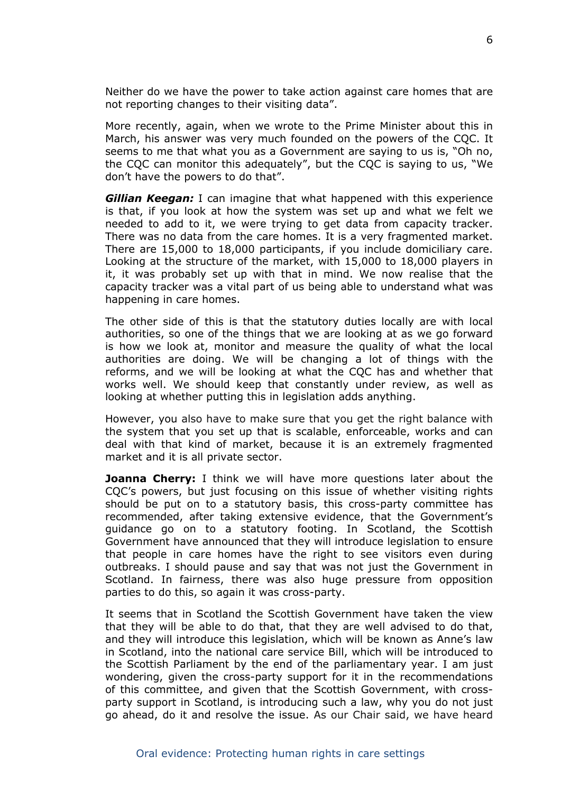Neither do we have the power to take action against care homes that are not reporting changes to their visiting data".

More recently, again, when we wrote to the Prime Minister about this in March, his answer was very much founded on the powers of the CQC. It seems to me that what you as a Government are saying to us is, "Oh no, the CQC can monitor this adequately", but the CQC is saying to us, "We don't have the powers to do that".

*Gillian Keegan:* I can imagine that what happened with this experience is that, if you look at how the system was set up and what we felt we needed to add to it, we were trying to get data from capacity tracker. There was no data from the care homes. It is a very fragmented market. There are 15,000 to 18,000 participants, if you include domiciliary care. Looking at the structure of the market, with 15,000 to 18,000 players in it, it was probably set up with that in mind. We now realise that the capacity tracker was a vital part of us being able to understand what was happening in care homes.

The other side of this is that the statutory duties locally are with local authorities, so one of the things that we are looking at as we go forward is how we look at, monitor and measure the quality of what the local authorities are doing. We will be changing a lot of things with the reforms, and we will be looking at what the CQC has and whether that works well. We should keep that constantly under review, as well as looking at whether putting this in legislation adds anything.

However, you also have to make sure that you get the right balance with the system that you set up that is scalable, enforceable, works and can deal with that kind of market, because it is an extremely fragmented market and it is all private sector.

**Joanna Cherry:** I think we will have more questions later about the CQC's powers, but just focusing on this issue of whether visiting rights should be put on to a statutory basis, this cross-party committee has recommended, after taking extensive evidence, that the Government's guidance go on to a statutory footing. In Scotland, the Scottish Government have announced that they will introduce legislation to ensure that people in care homes have the right to see visitors even during outbreaks. I should pause and say that was not just the Government in Scotland. In fairness, there was also huge pressure from opposition parties to do this, so again it was cross-party.

It seems that in Scotland the Scottish Government have taken the view that they will be able to do that, that they are well advised to do that, and they will introduce this legislation, which will be known as Anne's law in Scotland, into the national care service Bill, which will be introduced to the Scottish Parliament by the end of the parliamentary year. I am just wondering, given the cross-party support for it in the recommendations of this committee, and given that the Scottish Government, with crossparty support in Scotland, is introducing such a law, why you do not just go ahead, do it and resolve the issue. As our Chair said, we have heard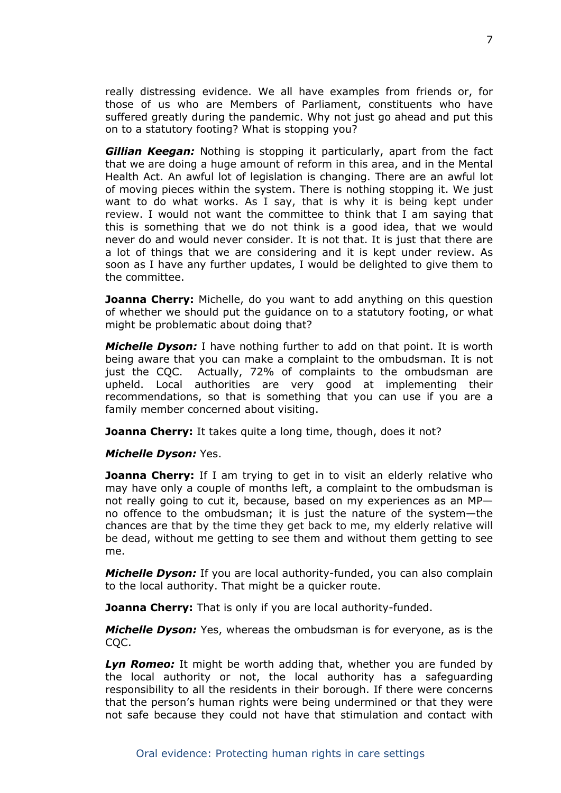really distressing evidence. We all have examples from friends or, for those of us who are Members of Parliament, constituents who have suffered greatly during the pandemic. Why not just go ahead and put this on to a statutory footing? What is stopping you?

*Gillian Keegan:* Nothing is stopping it particularly, apart from the fact that we are doing a huge amount of reform in this area, and in the Mental Health Act. An awful lot of legislation is changing. There are an awful lot of moving pieces within the system. There is nothing stopping it. We just want to do what works. As I say, that is why it is being kept under review. I would not want the committee to think that I am saying that this is something that we do not think is a good idea, that we would never do and would never consider. It is not that. It is just that there are a lot of things that we are considering and it is kept under review. As soon as I have any further updates, I would be delighted to give them to the committee.

**Joanna Cherry:** Michelle, do you want to add anything on this question of whether we should put the guidance on to a statutory footing, or what might be problematic about doing that?

*Michelle Dyson:* I have nothing further to add on that point. It is worth being aware that you can make a complaint to the ombudsman. It is not just the CQC. Actually, 72% of complaints to the ombudsman are upheld. Local authorities are very good at implementing their recommendations, so that is something that you can use if you are a family member concerned about visiting.

**Joanna Cherry:** It takes quite a long time, though, does it not?

### *Michelle Dyson:* Yes.

**Joanna Cherry:** If I am trying to get in to visit an elderly relative who may have only a couple of months left, a complaint to the ombudsman is not really going to cut it, because, based on my experiences as an MP no offence to the ombudsman; it is just the nature of the system—the chances are that by the time they get back to me, my elderly relative will be dead, without me getting to see them and without them getting to see me.

*Michelle Dyson:* If you are local authority-funded, you can also complain to the local authority. That might be a quicker route.

**Joanna Cherry:** That is only if you are local authority-funded.

*Michelle Dyson:* Yes, whereas the ombudsman is for everyone, as is the CQC.

*Lyn Romeo:* It might be worth adding that, whether you are funded by the local authority or not, the local authority has a safeguarding responsibility to all the residents in their borough. If there were concerns that the person's human rights were being undermined or that they were not safe because they could not have that stimulation and contact with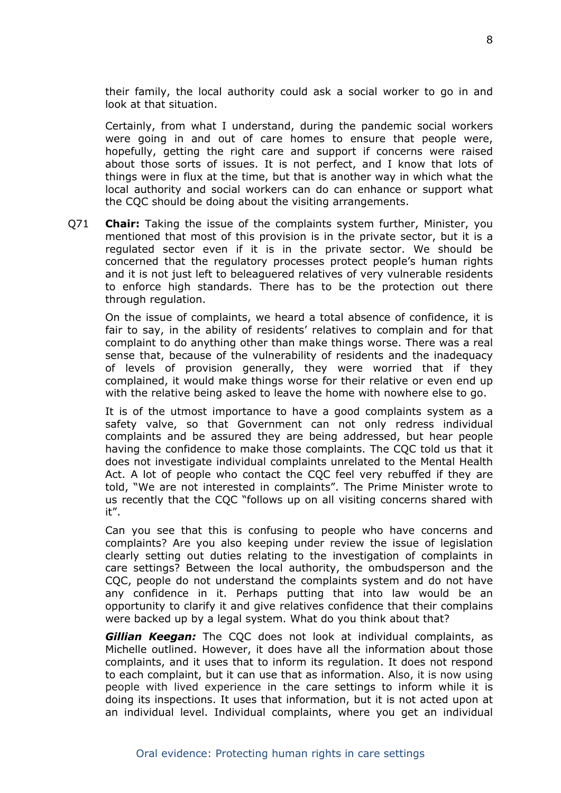their family, the local authority could ask a social worker to go in and look at that situation.

Certainly, from what I understand, during the pandemic social workers were going in and out of care homes to ensure that people were, hopefully, getting the right care and support if concerns were raised about those sorts of issues. It is not perfect, and I know that lots of things were in flux at the time, but that is another way in which what the local authority and social workers can do can enhance or support what the CQC should be doing about the visiting arrangements.

Q71 **Chair:** Taking the issue of the complaints system further, Minister, you mentioned that most of this provision is in the private sector, but it is a regulated sector even if it is in the private sector. We should be concerned that the regulatory processes protect people's human rights and it is not just left to beleaguered relatives of very vulnerable residents to enforce high standards. There has to be the protection out there through regulation.

On the issue of complaints, we heard a total absence of confidence, it is fair to say, in the ability of residents' relatives to complain and for that complaint to do anything other than make things worse. There was a real sense that, because of the vulnerability of residents and the inadequacy of levels of provision generally, they were worried that if they complained, it would make things worse for their relative or even end up with the relative being asked to leave the home with nowhere else to go.

It is of the utmost importance to have a good complaints system as a safety valve, so that Government can not only redress individual complaints and be assured they are being addressed, but hear people having the confidence to make those complaints. The CQC told us that it does not investigate individual complaints unrelated to the Mental Health Act. A lot of people who contact the CQC feel very rebuffed if they are told, "We are not interested in complaints". The Prime Minister wrote to us recently that the CQC "follows up on all visiting concerns shared with it".

Can you see that this is confusing to people who have concerns and complaints? Are you also keeping under review the issue of legislation clearly setting out duties relating to the investigation of complaints in care settings? Between the local authority, the ombudsperson and the CQC, people do not understand the complaints system and do not have any confidence in it. Perhaps putting that into law would be an opportunity to clarify it and give relatives confidence that their complains were backed up by a legal system. What do you think about that?

*Gillian Keegan:* The CQC does not look at individual complaints, as Michelle outlined. However, it does have all the information about those complaints, and it uses that to inform its regulation. It does not respond to each complaint, but it can use that as information. Also, it is now using people with lived experience in the care settings to inform while it is doing its inspections. It uses that information, but it is not acted upon at an individual level. Individual complaints, where you get an individual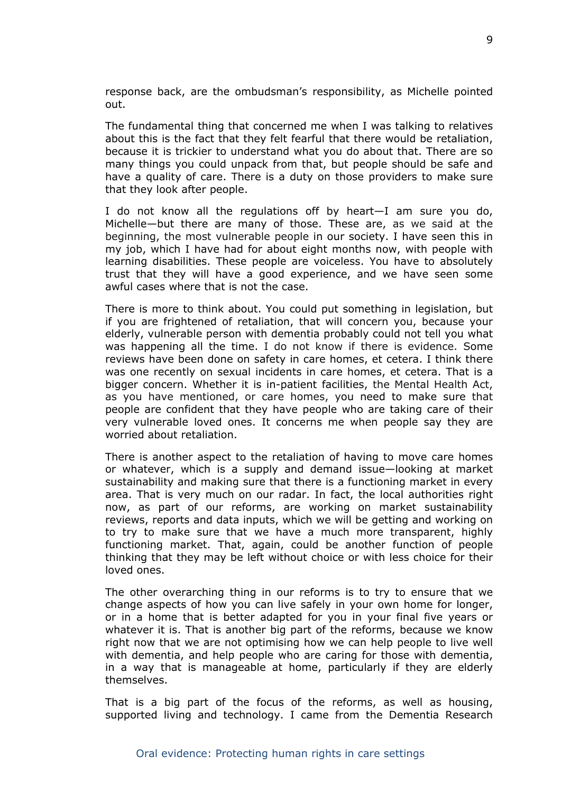response back, are the ombudsman's responsibility, as Michelle pointed out.

The fundamental thing that concerned me when I was talking to relatives about this is the fact that they felt fearful that there would be retaliation, because it is trickier to understand what you do about that. There are so many things you could unpack from that, but people should be safe and have a quality of care. There is a duty on those providers to make sure that they look after people.

I do not know all the regulations off by heart—I am sure you do, Michelle—but there are many of those. These are, as we said at the beginning, the most vulnerable people in our society. I have seen this in my job, which I have had for about eight months now, with people with learning disabilities. These people are voiceless. You have to absolutely trust that they will have a good experience, and we have seen some awful cases where that is not the case.

There is more to think about. You could put something in legislation, but if you are frightened of retaliation, that will concern you, because your elderly, vulnerable person with dementia probably could not tell you what was happening all the time. I do not know if there is evidence. Some reviews have been done on safety in care homes, et cetera. I think there was one recently on sexual incidents in care homes, et cetera. That is a bigger concern. Whether it is in-patient facilities, the Mental Health Act, as you have mentioned, or care homes, you need to make sure that people are confident that they have people who are taking care of their very vulnerable loved ones. It concerns me when people say they are worried about retaliation.

There is another aspect to the retaliation of having to move care homes or whatever, which is a supply and demand issue—looking at market sustainability and making sure that there is a functioning market in every area. That is very much on our radar. In fact, the local authorities right now, as part of our reforms, are working on market sustainability reviews, reports and data inputs, which we will be getting and working on to try to make sure that we have a much more transparent, highly functioning market. That, again, could be another function of people thinking that they may be left without choice or with less choice for their loved ones.

The other overarching thing in our reforms is to try to ensure that we change aspects of how you can live safely in your own home for longer, or in a home that is better adapted for you in your final five years or whatever it is. That is another big part of the reforms, because we know right now that we are not optimising how we can help people to live well with dementia, and help people who are caring for those with dementia, in a way that is manageable at home, particularly if they are elderly themselves.

That is a big part of the focus of the reforms, as well as housing, supported living and technology. I came from the Dementia Research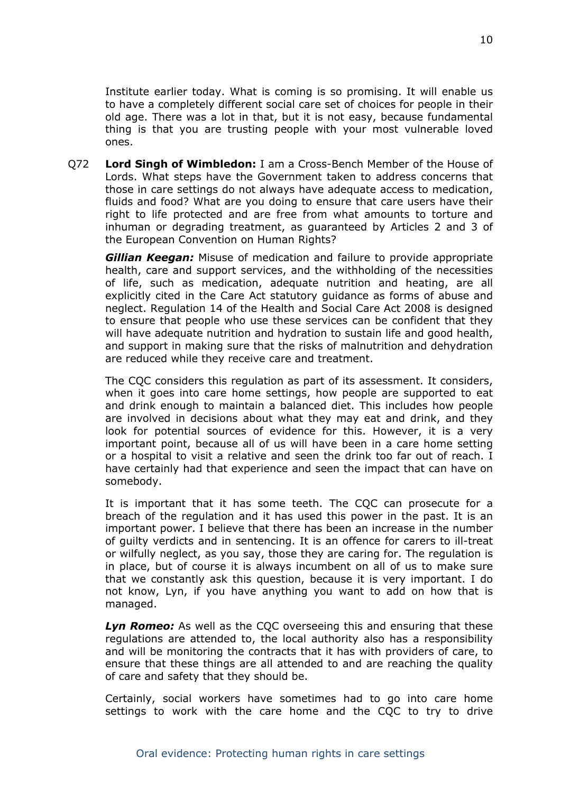Institute earlier today. What is coming is so promising. It will enable us to have a completely different social care set of choices for people in their old age. There was a lot in that, but it is not easy, because fundamental thing is that you are trusting people with your most vulnerable loved ones.

Q72 **Lord Singh of Wimbledon:** I am a Cross-Bench Member of the House of Lords. What steps have the Government taken to address concerns that those in care settings do not always have adequate access to medication, fluids and food? What are you doing to ensure that care users have their right to life protected and are free from what amounts to torture and inhuman or degrading treatment, as guaranteed by Articles 2 and 3 of the European Convention on Human Rights?

*Gillian Keegan:* Misuse of medication and failure to provide appropriate health, care and support services, and the withholding of the necessities of life, such as medication, adequate nutrition and heating, are all explicitly cited in the Care Act statutory guidance as forms of abuse and neglect. Regulation 14 of the Health and Social Care Act 2008 is designed to ensure that people who use these services can be confident that they will have adequate nutrition and hydration to sustain life and good health, and support in making sure that the risks of malnutrition and dehydration are reduced while they receive care and treatment.

The CQC considers this regulation as part of its assessment. It considers, when it goes into care home settings, how people are supported to eat and drink enough to maintain a balanced diet. This includes how people are involved in decisions about what they may eat and drink, and they look for potential sources of evidence for this. However, it is a very important point, because all of us will have been in a care home setting or a hospital to visit a relative and seen the drink too far out of reach. I have certainly had that experience and seen the impact that can have on somebody.

It is important that it has some teeth. The CQC can prosecute for a breach of the regulation and it has used this power in the past. It is an important power. I believe that there has been an increase in the number of guilty verdicts and in sentencing. It is an offence for carers to ill-treat or wilfully neglect, as you say, those they are caring for. The regulation is in place, but of course it is always incumbent on all of us to make sure that we constantly ask this question, because it is very important. I do not know, Lyn, if you have anything you want to add on how that is managed.

*Lyn Romeo:* As well as the CQC overseeing this and ensuring that these regulations are attended to, the local authority also has a responsibility and will be monitoring the contracts that it has with providers of care, to ensure that these things are all attended to and are reaching the quality of care and safety that they should be.

Certainly, social workers have sometimes had to go into care home settings to work with the care home and the CQC to try to drive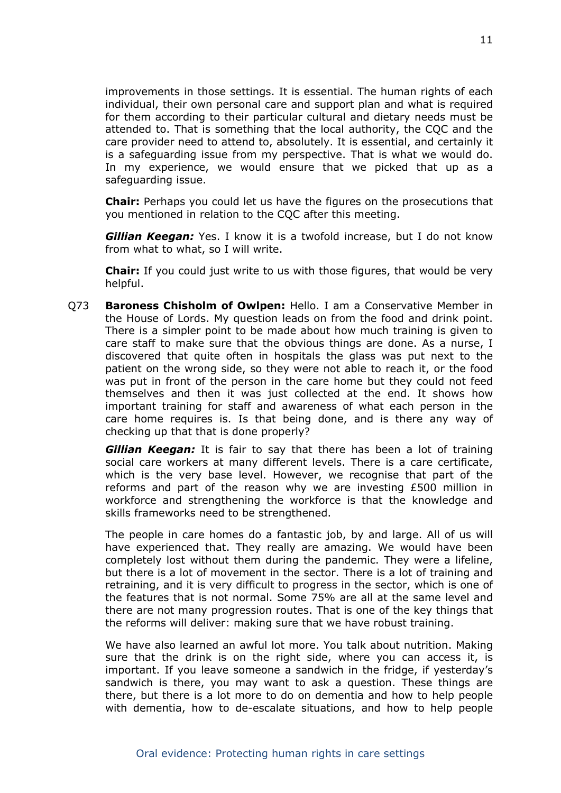improvements in those settings. It is essential. The human rights of each individual, their own personal care and support plan and what is required for them according to their particular cultural and dietary needs must be attended to. That is something that the local authority, the CQC and the care provider need to attend to, absolutely. It is essential, and certainly it is a safeguarding issue from my perspective. That is what we would do. In my experience, we would ensure that we picked that up as a safeguarding issue.

**Chair:** Perhaps you could let us have the figures on the prosecutions that you mentioned in relation to the CQC after this meeting.

*Gillian Keegan:* Yes. I know it is a twofold increase, but I do not know from what to what, so I will write.

**Chair:** If you could just write to us with those figures, that would be very helpful.

Q73 **Baroness Chisholm of Owlpen:** Hello. I am a Conservative Member in the House of Lords. My question leads on from the food and drink point. There is a simpler point to be made about how much training is given to care staff to make sure that the obvious things are done. As a nurse, I discovered that quite often in hospitals the glass was put next to the patient on the wrong side, so they were not able to reach it, or the food was put in front of the person in the care home but they could not feed themselves and then it was just collected at the end. It shows how important training for staff and awareness of what each person in the care home requires is. Is that being done, and is there any way of checking up that that is done properly?

*Gillian Keegan:* It is fair to say that there has been a lot of training social care workers at many different levels. There is a care certificate, which is the very base level. However, we recognise that part of the reforms and part of the reason why we are investing £500 million in workforce and strengthening the workforce is that the knowledge and skills frameworks need to be strengthened.

The people in care homes do a fantastic job, by and large. All of us will have experienced that. They really are amazing. We would have been completely lost without them during the pandemic. They were a lifeline, but there is a lot of movement in the sector. There is a lot of training and retraining, and it is very difficult to progress in the sector, which is one of the features that is not normal. Some 75% are all at the same level and there are not many progression routes. That is one of the key things that the reforms will deliver: making sure that we have robust training.

We have also learned an awful lot more. You talk about nutrition. Making sure that the drink is on the right side, where you can access it, is important. If you leave someone a sandwich in the fridge, if yesterday's sandwich is there, you may want to ask a question. These things are there, but there is a lot more to do on dementia and how to help people with dementia, how to de-escalate situations, and how to help people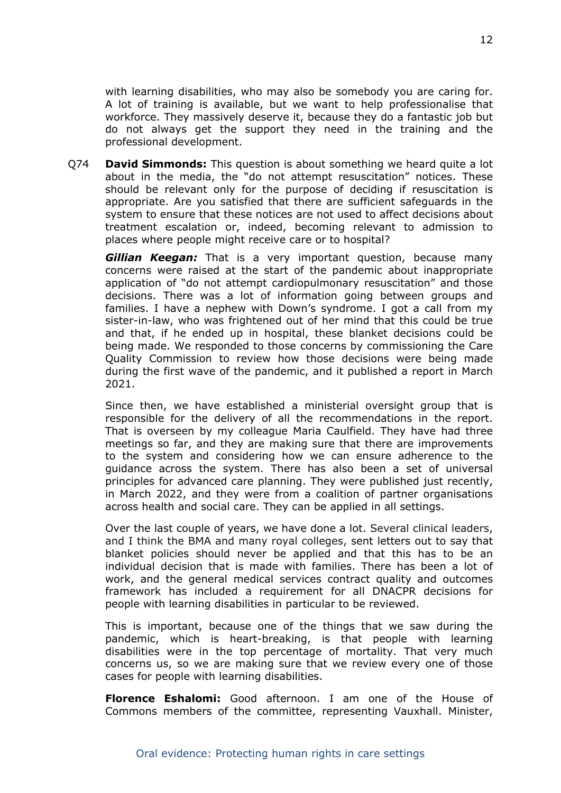with learning disabilities, who may also be somebody you are caring for. A lot of training is available, but we want to help professionalise that workforce. They massively deserve it, because they do a fantastic job but do not always get the support they need in the training and the professional development.

Q74 **David Simmonds:** This question is about something we heard quite a lot about in the media, the "do not attempt resuscitation" notices. These should be relevant only for the purpose of deciding if resuscitation is appropriate. Are you satisfied that there are sufficient safeguards in the system to ensure that these notices are not used to affect decisions about treatment escalation or, indeed, becoming relevant to admission to places where people might receive care or to hospital?

*Gillian Keegan:* That is a very important question, because many concerns were raised at the start of the pandemic about inappropriate application of "do not attempt cardiopulmonary resuscitation" and those decisions. There was a lot of information going between groups and families. I have a nephew with Down's syndrome. I got a call from my sister-in-law, who was frightened out of her mind that this could be true and that, if he ended up in hospital, these blanket decisions could be being made. We responded to those concerns by commissioning the Care Quality Commission to review how those decisions were being made during the first wave of the pandemic, and it published a report in March 2021.

Since then, we have established a ministerial oversight group that is responsible for the delivery of all the recommendations in the report. That is overseen by my colleague Maria Caulfield. They have had three meetings so far, and they are making sure that there are improvements to the system and considering how we can ensure adherence to the guidance across the system. There has also been a set of universal principles for advanced care planning. They were published just recently, in March 2022, and they were from a coalition of partner organisations across health and social care. They can be applied in all settings.

Over the last couple of years, we have done a lot. Several clinical leaders, and I think the BMA and many royal colleges, sent letters out to say that blanket policies should never be applied and that this has to be an individual decision that is made with families. There has been a lot of work, and the general medical services contract quality and outcomes framework has included a requirement for all DNACPR decisions for people with learning disabilities in particular to be reviewed.

This is important, because one of the things that we saw during the pandemic, which is heart-breaking, is that people with learning disabilities were in the top percentage of mortality. That very much concerns us, so we are making sure that we review every one of those cases for people with learning disabilities.

**Florence Eshalomi:** Good afternoon. I am one of the House of Commons members of the committee, representing Vauxhall. Minister,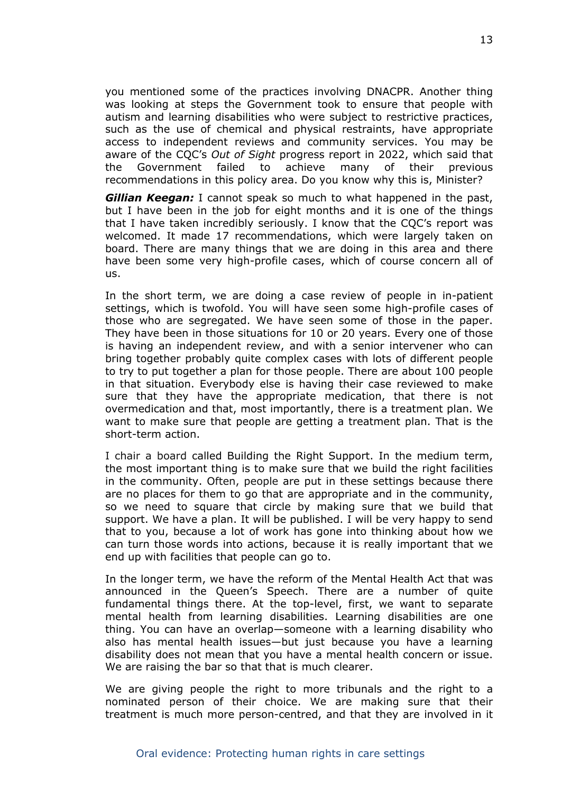you mentioned some of the practices involving DNACPR. Another thing was looking at steps the Government took to ensure that people with autism and learning disabilities who were subject to restrictive practices, such as the use of chemical and physical restraints, have appropriate access to independent reviews and community services. You may be aware of the CQC's *Out of Sight* progress report in 2022, which said that the Government failed to achieve many of their previous recommendations in this policy area. Do you know why this is, Minister?

*Gillian Keegan:* I cannot speak so much to what happened in the past, but I have been in the job for eight months and it is one of the things that I have taken incredibly seriously. I know that the CQC's report was welcomed. It made 17 recommendations, which were largely taken on board. There are many things that we are doing in this area and there have been some very high-profile cases, which of course concern all of us.

In the short term, we are doing a case review of people in in-patient settings, which is twofold. You will have seen some high-profile cases of those who are segregated. We have seen some of those in the paper. They have been in those situations for 10 or 20 years. Every one of those is having an independent review, and with a senior intervener who can bring together probably quite complex cases with lots of different people to try to put together a plan for those people. There are about 100 people in that situation. Everybody else is having their case reviewed to make sure that they have the appropriate medication, that there is not overmedication and that, most importantly, there is a treatment plan. We want to make sure that people are getting a treatment plan. That is the short-term action.

I chair a board called Building the Right Support. In the medium term, the most important thing is to make sure that we build the right facilities in the community. Often, people are put in these settings because there are no places for them to go that are appropriate and in the community, so we need to square that circle by making sure that we build that support. We have a plan. It will be published. I will be very happy to send that to you, because a lot of work has gone into thinking about how we can turn those words into actions, because it is really important that we end up with facilities that people can go to.

In the longer term, we have the reform of the Mental Health Act that was announced in the Queen's Speech. There are a number of quite fundamental things there. At the top-level, first, we want to separate mental health from learning disabilities. Learning disabilities are one thing. You can have an overlap—someone with a learning disability who also has mental health issues—but just because you have a learning disability does not mean that you have a mental health concern or issue. We are raising the bar so that that is much clearer.

We are giving people the right to more tribunals and the right to a nominated person of their choice. We are making sure that their treatment is much more person-centred, and that they are involved in it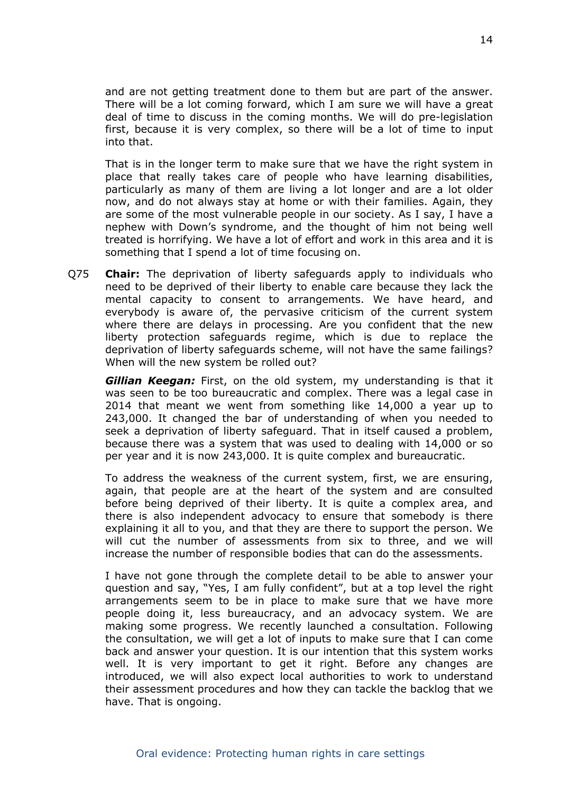and are not getting treatment done to them but are part of the answer. There will be a lot coming forward, which I am sure we will have a great deal of time to discuss in the coming months. We will do pre-legislation first, because it is very complex, so there will be a lot of time to input into that.

That is in the longer term to make sure that we have the right system in place that really takes care of people who have learning disabilities, particularly as many of them are living a lot longer and are a lot older now, and do not always stay at home or with their families. Again, they are some of the most vulnerable people in our society. As I say, I have a nephew with Down's syndrome, and the thought of him not being well treated is horrifying. We have a lot of effort and work in this area and it is something that I spend a lot of time focusing on.

Q75 **Chair:** The deprivation of liberty safeguards apply to individuals who need to be deprived of their liberty to enable care because they lack the mental capacity to consent to arrangements. We have heard, and everybody is aware of, the pervasive criticism of the current system where there are delays in processing. Are you confident that the new liberty protection safeguards regime, which is due to replace the deprivation of liberty safeguards scheme, will not have the same failings? When will the new system be rolled out?

*Gillian Keegan:* First, on the old system, my understanding is that it was seen to be too bureaucratic and complex. There was a legal case in 2014 that meant we went from something like 14,000 a year up to 243,000. It changed the bar of understanding of when you needed to seek a deprivation of liberty safeguard. That in itself caused a problem, because there was a system that was used to dealing with 14,000 or so per year and it is now 243,000. It is quite complex and bureaucratic.

To address the weakness of the current system, first, we are ensuring, again, that people are at the heart of the system and are consulted before being deprived of their liberty. It is quite a complex area, and there is also independent advocacy to ensure that somebody is there explaining it all to you, and that they are there to support the person. We will cut the number of assessments from six to three, and we will increase the number of responsible bodies that can do the assessments.

I have not gone through the complete detail to be able to answer your question and say, "Yes, I am fully confident", but at a top level the right arrangements seem to be in place to make sure that we have more people doing it, less bureaucracy, and an advocacy system. We are making some progress. We recently launched a consultation. Following the consultation, we will get a lot of inputs to make sure that I can come back and answer your question. It is our intention that this system works well. It is very important to get it right. Before any changes are introduced, we will also expect local authorities to work to understand their assessment procedures and how they can tackle the backlog that we have. That is ongoing.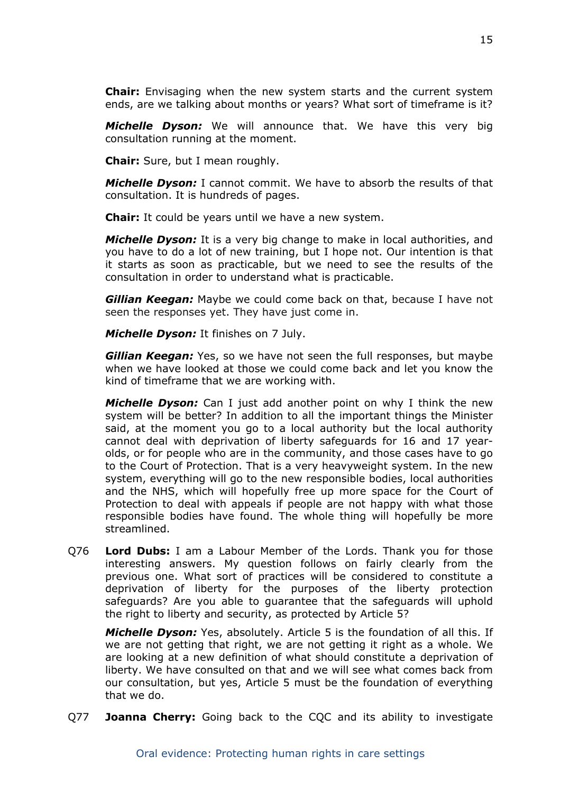**Chair:** Envisaging when the new system starts and the current system ends, are we talking about months or years? What sort of timeframe is it?

*Michelle Dyson:* We will announce that. We have this very big consultation running at the moment.

**Chair:** Sure, but I mean roughly.

*Michelle Dyson:* I cannot commit. We have to absorb the results of that consultation. It is hundreds of pages.

**Chair:** It could be years until we have a new system.

*Michelle Dyson:* It is a very big change to make in local authorities, and you have to do a lot of new training, but I hope not. Our intention is that it starts as soon as practicable, but we need to see the results of the consultation in order to understand what is practicable.

*Gillian Keegan:* Maybe we could come back on that, because I have not seen the responses yet. They have just come in.

*Michelle Dyson:* It finishes on 7 July.

*Gillian Keegan:* Yes, so we have not seen the full responses, but maybe when we have looked at those we could come back and let you know the kind of timeframe that we are working with.

*Michelle Dyson:* Can I just add another point on why I think the new system will be better? In addition to all the important things the Minister said, at the moment you go to a local authority but the local authority cannot deal with deprivation of liberty safeguards for 16 and 17 yearolds, or for people who are in the community, and those cases have to go to the Court of Protection. That is a very heavyweight system. In the new system, everything will go to the new responsible bodies, local authorities and the NHS, which will hopefully free up more space for the Court of Protection to deal with appeals if people are not happy with what those responsible bodies have found. The whole thing will hopefully be more streamlined.

Q76 **Lord Dubs:** I am a Labour Member of the Lords. Thank you for those interesting answers. My question follows on fairly clearly from the previous one. What sort of practices will be considered to constitute a deprivation of liberty for the purposes of the liberty protection safeguards? Are you able to guarantee that the safeguards will uphold the right to liberty and security, as protected by Article 5?

*Michelle Dyson:* Yes, absolutely. Article 5 is the foundation of all this. If we are not getting that right, we are not getting it right as a whole. We are looking at a new definition of what should constitute a deprivation of liberty. We have consulted on that and we will see what comes back from our consultation, but yes, Article 5 must be the foundation of everything that we do.

Q77 **Joanna Cherry:** Going back to the CQC and its ability to investigate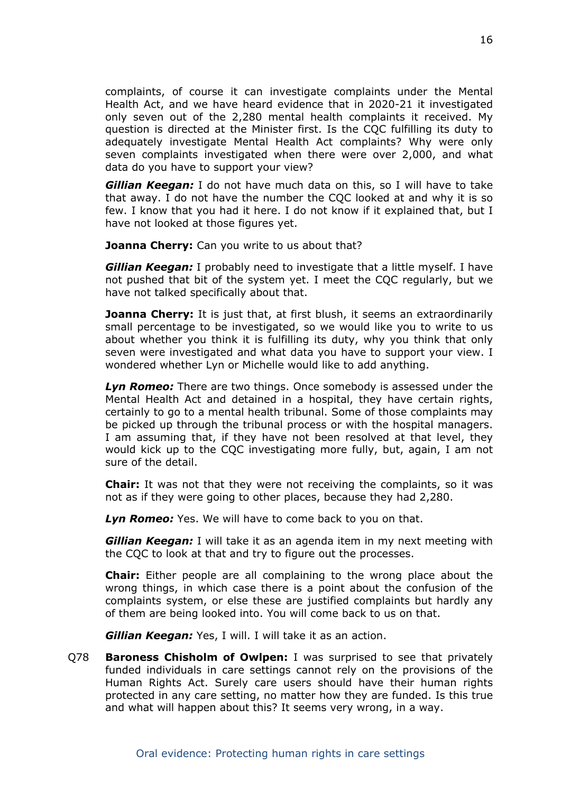complaints, of course it can investigate complaints under the Mental Health Act, and we have heard evidence that in 2020-21 it investigated only seven out of the 2,280 mental health complaints it received. My question is directed at the Minister first. Is the CQC fulfilling its duty to adequately investigate Mental Health Act complaints? Why were only seven complaints investigated when there were over 2,000, and what data do you have to support your view?

*Gillian Keegan:* I do not have much data on this, so I will have to take that away. I do not have the number the CQC looked at and why it is so few. I know that you had it here. I do not know if it explained that, but I have not looked at those figures yet.

**Joanna Cherry:** Can you write to us about that?

*Gillian Keegan:* I probably need to investigate that a little myself. I have not pushed that bit of the system yet. I meet the CQC regularly, but we have not talked specifically about that.

**Joanna Cherry:** It is just that, at first blush, it seems an extraordinarily small percentage to be investigated, so we would like you to write to us about whether you think it is fulfilling its duty, why you think that only seven were investigated and what data you have to support your view. I wondered whether Lyn or Michelle would like to add anything.

*Lyn Romeo:* There are two things. Once somebody is assessed under the Mental Health Act and detained in a hospital, they have certain rights, certainly to go to a mental health tribunal. Some of those complaints may be picked up through the tribunal process or with the hospital managers. I am assuming that, if they have not been resolved at that level, they would kick up to the CQC investigating more fully, but, again, I am not sure of the detail.

**Chair:** It was not that they were not receiving the complaints, so it was not as if they were going to other places, because they had 2,280.

*Lyn Romeo:* Yes. We will have to come back to you on that.

*Gillian Keegan:* I will take it as an agenda item in my next meeting with the CQC to look at that and try to figure out the processes.

**Chair:** Either people are all complaining to the wrong place about the wrong things, in which case there is a point about the confusion of the complaints system, or else these are justified complaints but hardly any of them are being looked into. You will come back to us on that.

*Gillian Keegan:* Yes, I will. I will take it as an action.

Q78 **Baroness Chisholm of Owlpen:** I was surprised to see that privately funded individuals in care settings cannot rely on the provisions of the Human Rights Act. Surely care users should have their human rights protected in any care setting, no matter how they are funded. Is this true and what will happen about this? It seems very wrong, in a way.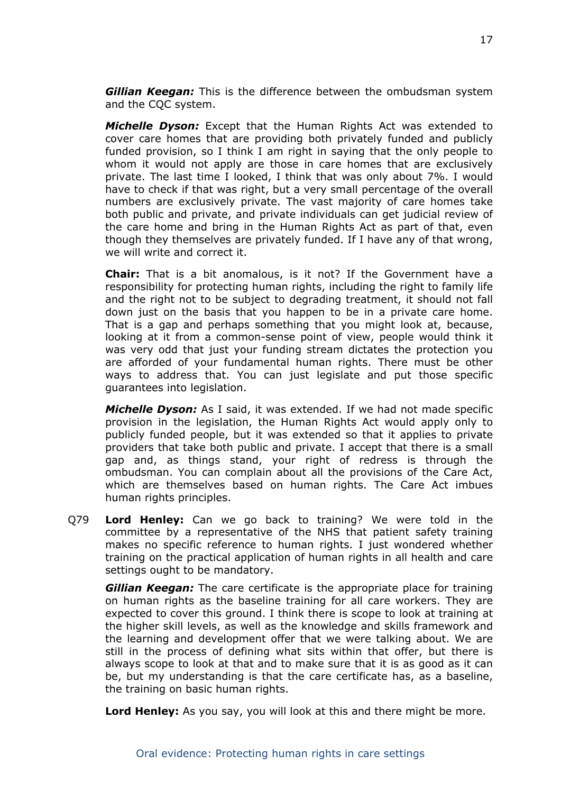*Gillian Keegan:* This is the difference between the ombudsman system and the CQC system.

*Michelle Dyson:* Except that the Human Rights Act was extended to cover care homes that are providing both privately funded and publicly funded provision, so I think I am right in saying that the only people to whom it would not apply are those in care homes that are exclusively private. The last time I looked, I think that was only about 7%. I would have to check if that was right, but a very small percentage of the overall numbers are exclusively private. The vast majority of care homes take both public and private, and private individuals can get judicial review of the care home and bring in the Human Rights Act as part of that, even though they themselves are privately funded. If I have any of that wrong, we will write and correct it.

**Chair:** That is a bit anomalous, is it not? If the Government have a responsibility for protecting human rights, including the right to family life and the right not to be subject to degrading treatment, it should not fall down just on the basis that you happen to be in a private care home. That is a gap and perhaps something that you might look at, because, looking at it from a common-sense point of view, people would think it was very odd that just your funding stream dictates the protection you are afforded of your fundamental human rights. There must be other ways to address that. You can just legislate and put those specific guarantees into legislation.

*Michelle Dyson:* As I said, it was extended. If we had not made specific provision in the legislation, the Human Rights Act would apply only to publicly funded people, but it was extended so that it applies to private providers that take both public and private. I accept that there is a small gap and, as things stand, your right of redress is through the ombudsman. You can complain about all the provisions of the Care Act, which are themselves based on human rights. The Care Act imbues human rights principles.

Q79 **Lord Henley:** Can we go back to training? We were told in the committee by a representative of the NHS that patient safety training makes no specific reference to human rights. I just wondered whether training on the practical application of human rights in all health and care settings ought to be mandatory.

*Gillian Keegan:* The care certificate is the appropriate place for training on human rights as the baseline training for all care workers. They are expected to cover this ground. I think there is scope to look at training at the higher skill levels, as well as the knowledge and skills framework and the learning and development offer that we were talking about. We are still in the process of defining what sits within that offer, but there is always scope to look at that and to make sure that it is as good as it can be, but my understanding is that the care certificate has, as a baseline, the training on basic human rights.

**Lord Henley:** As you say, you will look at this and there might be more.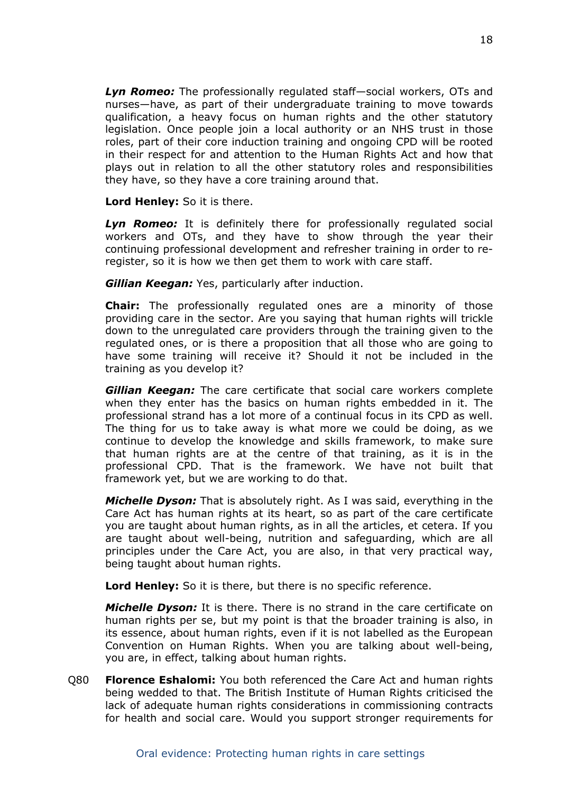*Lyn Romeo:* The professionally regulated staff—social workers, OTs and nurses—have, as part of their undergraduate training to move towards qualification, a heavy focus on human rights and the other statutory legislation. Once people join a local authority or an NHS trust in those roles, part of their core induction training and ongoing CPD will be rooted in their respect for and attention to the Human Rights Act and how that plays out in relation to all the other statutory roles and responsibilities they have, so they have a core training around that.

**Lord Henley:** So it is there.

*Lyn Romeo:* It is definitely there for professionally regulated social workers and OTs, and they have to show through the year their continuing professional development and refresher training in order to reregister, so it is how we then get them to work with care staff.

*Gillian Keegan:* Yes, particularly after induction.

**Chair:** The professionally regulated ones are a minority of those providing care in the sector. Are you saying that human rights will trickle down to the unregulated care providers through the training given to the regulated ones, or is there a proposition that all those who are going to have some training will receive it? Should it not be included in the training as you develop it?

*Gillian Keegan:* The care certificate that social care workers complete when they enter has the basics on human rights embedded in it. The professional strand has a lot more of a continual focus in its CPD as well. The thing for us to take away is what more we could be doing, as we continue to develop the knowledge and skills framework, to make sure that human rights are at the centre of that training, as it is in the professional CPD. That is the framework. We have not built that framework yet, but we are working to do that.

*Michelle Dyson:* That is absolutely right. As I was said, everything in the Care Act has human rights at its heart, so as part of the care certificate you are taught about human rights, as in all the articles, et cetera. If you are taught about well-being, nutrition and safeguarding, which are all principles under the Care Act, you are also, in that very practical way, being taught about human rights.

**Lord Henley:** So it is there, but there is no specific reference.

*Michelle Dyson:* It is there. There is no strand in the care certificate on human rights per se, but my point is that the broader training is also, in its essence, about human rights, even if it is not labelled as the European Convention on Human Rights. When you are talking about well-being, you are, in effect, talking about human rights.

Q80 **Florence Eshalomi:** You both referenced the Care Act and human rights being wedded to that. The British Institute of Human Rights criticised the lack of adequate human rights considerations in commissioning contracts for health and social care. Would you support stronger requirements for